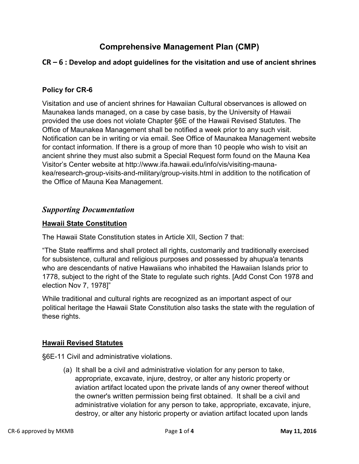# **Comprehensive Management Plan (CMP)**

# **CR – 6 : Develop and adopt guidelines for the visitation and use of ancient shrines**

#### **Policy for CR-6**

Visitation and use of ancient shrines for Hawaiian Cultural observances is allowed on Maunakea lands managed, on a case by case basis, by the University of Hawaii provided the use does not violate Chapter §6E of the Hawaii Revised Statutes. The Office of Maunakea Management shall be notified a week prior to any such visit. Notification can be in writing or via email. See Office of Maunakea Management website for contact information. If there is a group of more than 10 people who wish to visit an ancient shrine they must also submit a Special Request form found on the Mauna Kea Visitor's Center website at http://www.ifa.hawaii.edu/info/vis/visiting-maunakea/research-group-visits-and-military/group-visits.html in addition to the notification of the Office of Mauna Kea Management.

## *Supporting Documentation*

#### **Hawaii State Constitution**

The Hawaii State Constitution states in Article XII, Section 7 that:

"The State reaffirms and shall protect all rights, customarily and traditionally exercised for subsistence, cultural and religious purposes and possessed by ahupua'a tenants who are descendants of native Hawaiians who inhabited the Hawaiian Islands prior to 1778, subject to the right of the State to regulate such rights. [Add Const Con 1978 and election Nov 7, 1978]"

While traditional and cultural rights are recognized as an important aspect of our political heritage the Hawaii State Constitution also tasks the state with the regulation of these rights.

#### **Hawaii Revised Statutes**

§6E-11 Civil and administrative violations.

(a) It shall be a civil and administrative violation for any person to take, appropriate, excavate, injure, destroy, or alter any historic property or aviation artifact located upon the private lands of any owner thereof without the owner's written permission being first obtained. It shall be a civil and administrative violation for any person to take, appropriate, excavate, injure, destroy, or alter any historic property or aviation artifact located upon lands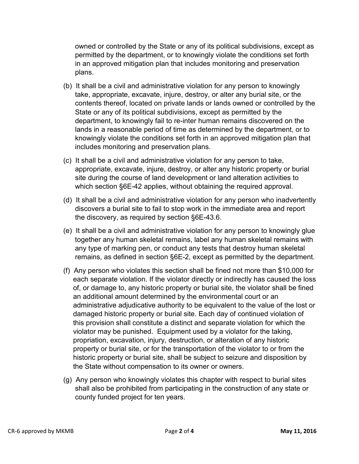owned or controlled by the State or any of its political subdivisions, except as permitted by the department, or to knowingly violate the conditions set forth in an approved mitigation plan that includes monitoring and preservation plans.

- (b) It shall be a civil and administrative violation for any person to knowingly take, appropriate, excavate, injure, destroy, or alter any burial site, or the contents thereof, located on private lands or lands owned or controlled by the State or any of its political subdivisions, except as permitted by the department, to knowingly fail to re-inter human remains discovered on the lands in a reasonable period of time as determined by the department, or to knowingly violate the conditions set forth in an approved mitigation plan that includes monitoring and preservation plans.
- (c) It shall be a civil and administrative violation for any person to take, appropriate, excavate, injure, destroy, or alter any historic property or burial site during the course of land development or land alteration activities to which section §6E-42 applies, without obtaining the required approval.
- (d) It shall be a civil and administrative violation for any person who inadvertently discovers a burial site to fail to stop work in the immediate area and report the discovery, as required by section §6E-43.6.
- (e) It shall be a civil and administrative violation for any person to knowingly glue together any human skeletal remains, label any human skeletal remains with any type of marking pen, or conduct any tests that destroy human skeletal remains, as defined in section §6E-2, except as permitted by the department.
- (f) Any person who violates this section shall be fined not more than \$10,000 for each separate violation. If the violator directly or indirectly has caused the loss of, or damage to, any historic property or burial site, the violator shall be fined an additional amount determined by the environmental court or an administrative adjudicative authority to be equivalent to the value of the lost or damaged historic property or burial site. Each day of continued violation of this provision shall constitute a distinct and separate violation for which the violator may be punished. Equipment used by a violator for the taking, propriation, excavation, injury, destruction, or alteration of any historic property or burial site, or for the transportation of the violator to or from the historic property or burial site, shall be subject to seizure and disposition by the State without compensation to its owner or owners.
- (g) Any person who knowingly violates this chapter with respect to burial sites shall also be prohibited from participating in the construction of any state or county funded project for ten years.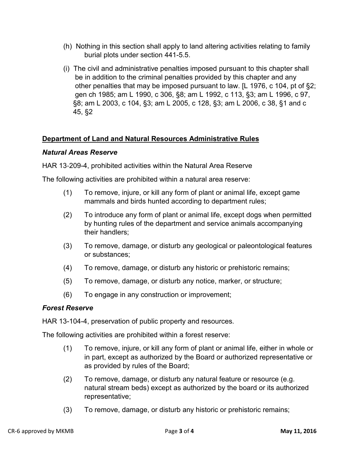- (h) Nothing in this section shall apply to land altering activities relating to family burial plots under section 441-5.5.
- (i) The civil and administrative penalties imposed pursuant to this chapter shall be in addition to the criminal penalties provided by this chapter and any other penalties that may be imposed pursuant to law. [L 1976, c 104, pt of §2; gen ch 1985; am L 1990, c 306, §8; am L 1992, c 113, §3; am L 1996, c 97, §8; am L 2003, c 104, §3; am L 2005, c 128, §3; am L 2006, c 38, §1 and c 45, §2

## **Department of Land and Natural Resources Administrative Rules**

#### *Natural Areas Reserve*

HAR 13‐209-4, prohibited activities within the Natural Area Reserve

The following activities are prohibited within a natural area reserve:

- (1) To remove, injure, or kill any form of plant or animal life, except game mammals and birds hunted according to department rules;
- (2) To introduce any form of plant or animal life, except dogs when permitted by hunting rules of the department and service animals accompanying their handlers;
- (3) To remove, damage, or disturb any geological or paleontological features or substances;
- (4) To remove, damage, or disturb any historic or prehistoric remains;
- (5) To remove, damage, or disturb any notice, marker, or structure;
- (6) To engage in any construction or improvement;

#### *Forest Reserve*

HAR 13-104-4, preservation of public property and resources.

The following activities are prohibited within a forest reserve:

- (1) To remove, injure, or kill any form of plant or animal life, either in whole or in part, except as authorized by the Board or authorized representative or as provided by rules of the Board;
- (2) To remove, damage, or disturb any natural feature or resource (e.g. natural stream beds) except as authorized by the board or its authorized representative;
- (3) To remove, damage, or disturb any historic or prehistoric remains;